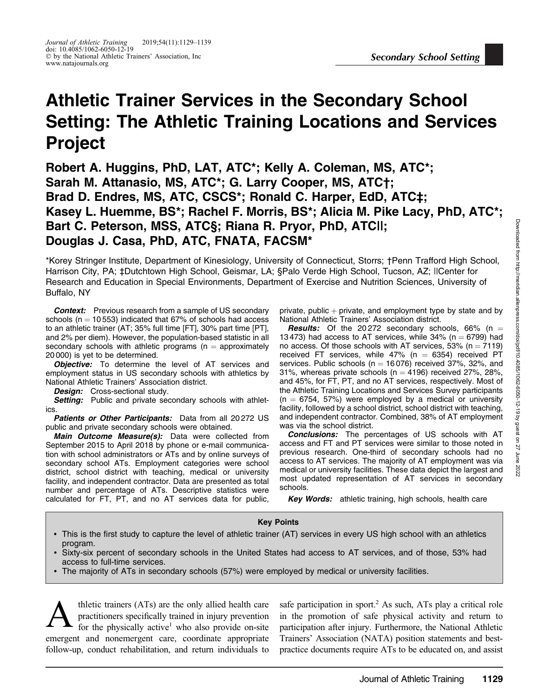# Athletic Trainer Services in the Secondary School Setting: The Athletic Training Locations and Services Project

Robert A. Huggins, PhD, LAT, ATC\*; Kelly A. Coleman, MS, ATC\*; Sarah M. Attanasio, MS, ATC\*; G. Larry Cooper, MS, ATC†; Brad D. Endres, MS, ATC, CSCS\*; Ronald C. Harper, EdD, ATC‡; Kasey L. Huemme, BS\*; Rachel F. Morris, BS\*; Alicia M. Pike Lacy, PhD, ATC\*; Bart C. Peterson, MSS, ATC§; Riana R. Pryor, PhD, ATC||; Douglas J. Casa, PhD, ATC, FNATA, FACSM\*

\*Korey Stringer Institute, Department of Kinesiology, University of Connecticut, Storrs; †Penn Trafford High School, Harrison City, PA; ‡Dutchtown High School, Geismar, LA; §Palo Verde High School, Tucson, AZ; ||Center for Research and Education in Special Environments, Department of Exercise and Nutrition Sciences, University of Buffalo, NY

**Context:** Previous research from a sample of US secondary schools ( $n = 10553$ ) indicated that 67% of schools had access to an athletic trainer (AT; 35% full time [FT], 30% part time [PT], and 2% per diem). However, the population-based statistic in all secondary schools with athletic programs ( $n =$  approximately 20 000) is yet to be determined.

**Objective:** To determine the level of AT services and employment status in US secondary schools with athletics by National Athletic Trainers' Association district.

Design: Cross-sectional study.

Setting: Public and private secondary schools with athletics.

Patients or Other Participants: Data from all 20272 US public and private secondary schools were obtained.

Main Outcome Measure(s): Data were collected from September 2015 to April 2018 by phone or e-mail communication with school administrators or ATs and by online surveys of secondary school ATs. Employment categories were school district, school district with teaching, medical or university facility, and independent contractor. Data are presented as total number and percentage of ATs. Descriptive statistics were calculated for FT, PT, and no AT services data for public,

private, public  $+$  private, and employment type by state and by National Athletic Trainers' Association district.

**Results:** Of the 20272 secondary schools, 66% (n = 13 473) had access to AT services, while  $34\%$  (n = 6799) had no access. Of those schools with AT services,  $53\%$  (n = 7119) received FT services, while  $47\%$  (n = 6354) received PT services. Public schools ( $n = 16076$ ) received 37%, 32%, and 31%, whereas private schools ( $n = 4196$ ) received 27%, 28%, and 45%, for FT, PT, and no AT services, respectively. Most of the Athletic Training Locations and Services Survey participants  $(n = 6754, 57%)$  were employed by a medical or university facility, followed by a school district, school district with teaching, and independent contractor. Combined, 38% of AT employment was via the school district.

Conclusions: The percentages of US schools with AT access and FT and PT services were similar to those noted in previous research. One-third of secondary schools had no access to AT services. The majority of AT employment was via medical or university facilities. These data depict the largest and most updated representation of AT services in secondary schools.

Key Words: athletic training, high schools, health care

#### Key Points

- This is the first study to capture the level of athletic trainer (AT) services in every US high school with an athletics program.
- Sixty-six percent of secondary schools in the United States had access to AT services, and of those, 53% had access to full-time services.
- The majority of ATs in secondary schools (57%) were employed by medical or university facilities.

thletic trainers (ATs) are the only allied health care<br>practitioners specifically trained in injury prevention<br>for the physically active<sup>1</sup> who also provide on-site practitioners specifically trained in injury prevention for the physically active<sup>1</sup> who also provide on-site emergent and nonemergent care, coordinate appropriate follow-up, conduct rehabilitation, and return individuals to

safe participation in sport.<sup>2</sup> As such, ATs play a critical role in the promotion of safe physical activity and return to participation after injury. Furthermore, the National Athletic Trainers' Association (NATA) position statements and bestpractice documents require ATs to be educated on, and assist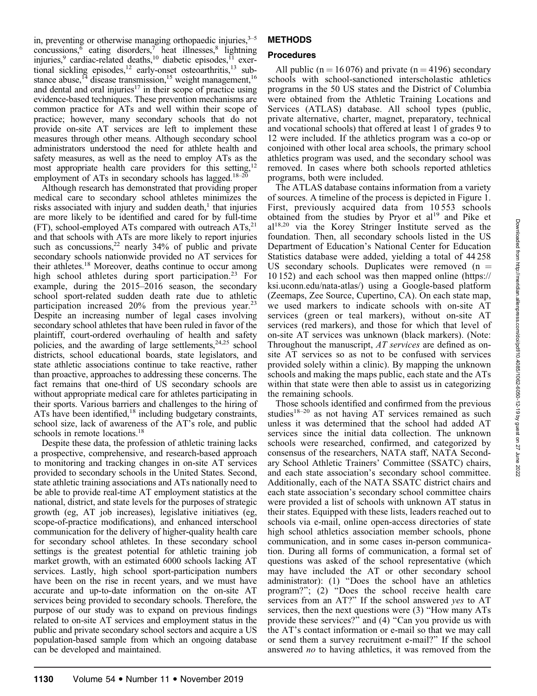in, preventing or otherwise managing orthopaedic injuries,  $3-5$ concussions, $\overline{6}$  eating disorders, $\overline{7}$  heat illnesses, $\overline{8}$  lightning injuries,<sup>9</sup> cardiac-related deaths,<sup>10</sup> diabetic episodes,<sup>11</sup> exertional sickling episodes,<sup>12</sup> early-onset osteoarthritis,<sup>13</sup> substance abuse, $14$  disease transmission, $15$  weight management,  $16$ and dental and oral injuries $17$  in their scope of practice using evidence-based techniques. These prevention mechanisms are common practice for ATs and well within their scope of practice; however, many secondary schools that do not provide on-site AT services are left to implement these measures through other means. Although secondary school administrators understood the need for athlete health and safety measures, as well as the need to employ ATs as the most appropriate health care providers for this setting,<sup>12</sup> employment of ATs in secondary schools has lagged.<sup>18–2</sup>

Although research has demonstrated that providing proper medical care to secondary school athletes minimizes the risks associated with injury and sudden death, $<sup>1</sup>$  that injuries</sup> are more likely to be identified and cared for by full-time (FT), school-employed ATs compared with outreach ATs,21 and that schools with ATs are more likely to report injuries such as concussions, $22$  nearly 34% of public and private secondary schools nationwide provided no AT services for their athletes.18 Moreover, deaths continue to occur among high school athletes during sport participation.<sup>23</sup> For example, during the 2015–2016 season, the secondary school sport-related sudden death rate due to athletic participation increased  $20\%$  from the previous year.<sup>23</sup> Despite an increasing number of legal cases involving secondary school athletes that have been ruled in favor of the plaintiff, court-ordered overhauling of health and safety policies, and the awarding of large settlements,  $24,25$  school districts, school educational boards, state legislators, and state athletic associations continue to take reactive, rather than proactive, approaches to addressing these concerns. The fact remains that one-third of US secondary schools are without appropriate medical care for athletes participating in their sports. Various barriers and challenges to the hiring of ATs have been identified,<sup>18</sup> including budgetary constraints, school size, lack of awareness of the AT's role, and public schools in remote locations.<sup>18</sup>

Despite these data, the profession of athletic training lacks a prospective, comprehensive, and research-based approach to monitoring and tracking changes in on-site AT services provided to secondary schools in the United States. Second, state athletic training associations and ATs nationally need to be able to provide real-time AT employment statistics at the national, district, and state levels for the purposes of strategic growth (eg, AT job increases), legislative initiatives (eg, scope-of-practice modifications), and enhanced interschool communication for the delivery of higher-quality health care for secondary school athletes. In these secondary school settings is the greatest potential for athletic training job market growth, with an estimated 6000 schools lacking AT services. Lastly, high school sport-participation numbers have been on the rise in recent years, and we must have accurate and up-to-date information on the on-site AT services being provided to secondary schools. Therefore, the purpose of our study was to expand on previous findings related to on-site AT services and employment status in the public and private secondary school sectors and acquire a US population-based sample from which an ongoing database can be developed and maintained.

# METHODS

# Procedures

All public (n = 16 076) and private (n = 4196) secondary schools with school-sanctioned interscholastic athletics programs in the 50 US states and the District of Columbia were obtained from the Athletic Training Locations and Services (ATLAS) database. All school types (public, private alternative, charter, magnet, preparatory, technical and vocational schools) that offered at least 1 of grades 9 to 12 were included. If the athletics program was a co-op or conjoined with other local area schools, the primary school athletics program was used, and the secondary school was removed. In cases where both schools reported athletics programs, both were included.

The ATLAS database contains information from a variety of sources. A timeline of the process is depicted in Figure 1. First, previously acquired data from 10 553 schools obtained from the studies by Pryor et al<sup>19</sup> and Pike et al18,20 via the Korey Stringer Institute served as the foundation. Then, all secondary schools listed in the US Department of Education's National Center for Education Statistics database were added, yielding a total of 44 258 US secondary schools. Duplicates were removed  $(n =$ 10 152) and each school was then mapped online (https:// ksi.uconn.edu/nata-atlas/) using a Google-based platform (Zeemaps, Zee Source, Cupertino, CA). On each state map, we used markers to indicate schools with on-site AT services (green or teal markers), without on-site AT services (red markers), and those for which that level of on-site AT services was unknown (black markers). (Note: Throughout the manuscript, AT services are defined as onsite AT services so as not to be confused with services provided solely within a clinic). By mapping the unknown schools and making the maps public, each state and the ATs within that state were then able to assist us in categorizing the remaining schools.

Those schools identified and confirmed from the previous studies $18-20$  as not having AT services remained as such unless it was determined that the school had added AT services since the initial data collection. The unknown schools were researched, confirmed, and categorized by consensus of the researchers, NATA staff, NATA Secondary School Athletic Trainers' Committee (SSATC) chairs, and each state association's secondary school committee. Additionally, each of the NATA SSATC district chairs and each state association's secondary school committee chairs were provided a list of schools with unknown AT status in their states. Equipped with these lists, leaders reached out to schools via e-mail, online open-access directories of state high school athletics association member schools, phone communication, and in some cases in-person communication. During all forms of communication, a formal set of questions was asked of the school representative (which may have included the AT or other secondary school administrator): (1) ''Does the school have an athletics program?''; (2) ''Does the school receive health care services from an AT?" If the school answered yes to AT services, then the next questions were (3) "How many ATs provide these services?'' and (4) ''Can you provide us with the AT's contact information or e-mail so that we may call or send them a survey recruitment e-mail?'' If the school answered no to having athletics, it was removed from the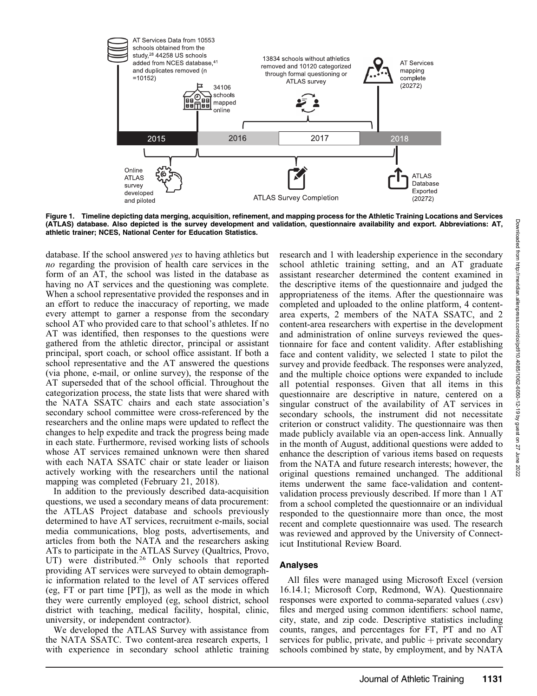$\overline{2}$ aunr. 2022



Figure 1. Timeline depicting data merging, acquisition, refinement, and mapping process for the Athletic Training Locations and Services (ATLAS) database. Also depicted is the survey development and validation, questionnaire availability and export. Abbreviations: AT, athletic trainer; NCES, National Center for Education Statistics.

database. If the school answered yes to having athletics but no regarding the provision of health care services in the form of an AT, the school was listed in the database as having no AT services and the questioning was complete. When a school representative provided the responses and in an effort to reduce the inaccuracy of reporting, we made every attempt to garner a response from the secondary school AT who provided care to that school's athletes. If no AT was identified, then responses to the questions were gathered from the athletic director, principal or assistant principal, sport coach, or school office assistant. If both a school representative and the AT answered the questions (via phone, e-mail, or online survey), the response of the AT superseded that of the school official. Throughout the categorization process, the state lists that were shared with the NATA SSATC chairs and each state association's secondary school committee were cross-referenced by the researchers and the online maps were updated to reflect the changes to help expedite and track the progress being made in each state. Furthermore, revised working lists of schools whose AT services remained unknown were then shared with each NATA SSATC chair or state leader or liaison actively working with the researchers until the national mapping was completed (February 21, 2018).

In addition to the previously described data-acquisition questions, we used a secondary means of data procurement: the ATLAS Project database and schools previously determined to have AT services, recruitment e-mails, social media communications, blog posts, advertisements, and articles from both the NATA and the researchers asking ATs to participate in the ATLAS Survey (Qualtrics, Provo, UT) were distributed.<sup>26</sup> Only schools that reported providing AT services were surveyed to obtain demographic information related to the level of AT services offered (eg, FT or part time [PT]), as well as the mode in which they were currently employed (eg, school district, school district with teaching, medical facility, hospital, clinic, university, or independent contractor).

We developed the ATLAS Survey with assistance from the NATA SSATC. Two content-area research experts, 1 with experience in secondary school athletic training research and 1 with leadership experience in the secondary school athletic training setting, and an AT graduate assistant researcher determined the content examined in the descriptive items of the questionnaire and judged the appropriateness of the items. After the questionnaire was completed and uploaded to the online platform, 4 contentarea experts, 2 members of the NATA SSATC, and 2 content-area researchers with expertise in the development and administration of online surveys reviewed the questionnaire for face and content validity. After establishing face and content validity, we selected 1 state to pilot the survey and provide feedback. The responses were analyzed, and the multiple choice options were expanded to include all potential responses. Given that all items in this questionnaire are descriptive in nature, centered on a singular construct of the availability of AT services in secondary schools, the instrument did not necessitate criterion or construct validity. The questionnaire was then made publicly available via an open-access link. Annually in the month of August, additional questions were added to enhance the description of various items based on requests from the NATA and future research interests; however, the original questions remained unchanged. The additional items underwent the same face-validation and contentvalidation process previously described. If more than 1 AT from a school completed the questionnaire or an individual responded to the questionnaire more than once, the most recent and complete questionnaire was used. The research was reviewed and approved by the University of Connecticut Institutional Review Board.

#### Analyses

All files were managed using Microsoft Excel (version 16.14.1; Microsoft Corp, Redmond, WA). Questionnaire responses were exported to comma-separated values (.csv) files and merged using common identifiers: school name, city, state, and zip code. Descriptive statistics including counts, ranges, and percentages for FT, PT and no AT services for public, private, and public  $+$  private secondary schools combined by state, by employment, and by NATA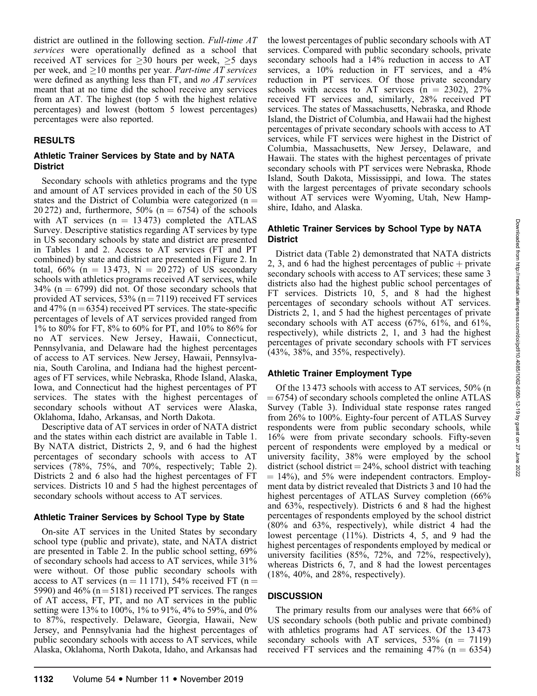district are outlined in the following section. Full-time AT services were operationally defined as a school that received AT services for  $\geq 30$  hours per week,  $\geq 5$  days per week, and  $\geq 10$  months per year. Part-time AT services were defined as anything less than FT, and no AT services meant that at no time did the school receive any services from an AT. The highest (top 5 with the highest relative percentages) and lowest (bottom 5 lowest percentages) percentages were also reported.

### RESULTS

#### Athletic Trainer Services by State and by NATA **District**

Secondary schools with athletics programs and the type and amount of AT services provided in each of the 50 US states and the District of Columbia were categorized ( $n =$ 20 272) and, furthermore, 50% ( $n = 6754$ ) of the schools with AT services  $(n = 13473)$  completed the ATLAS Survey. Descriptive statistics regarding AT services by type in US secondary schools by state and district are presented in Tables 1 and 2. Access to AT services (FT and PT combined) by state and district are presented in Figure 2. In total,  $66\%$  (n = 13 473, N = 20 272) of US secondary schools with athletics programs received AT services, while  $34\%$  (n = 6799) did not. Of those secondary schools that provided AT services,  $53\%$  (n = 7119) received FT services and 47% ( $n = 6354$ ) received PT services. The state-specific percentages of levels of AT services provided ranged from 1% to 80% for FT, 8% to 60% for PT, and 10% to 86% for no AT services. New Jersey, Hawaii, Connecticut, Pennsylvania, and Delaware had the highest percentages of access to AT services. New Jersey, Hawaii, Pennsylvania, South Carolina, and Indiana had the highest percentages of FT services, while Nebraska, Rhode Island, Alaska, Iowa, and Connecticut had the highest percentages of PT services. The states with the highest percentages of secondary schools without AT services were Alaska, Oklahoma, Idaho, Arkansas, and North Dakota.

Descriptive data of AT services in order of NATA district and the states within each district are available in Table 1. By NATA district, Districts 2, 9, and 6 had the highest percentages of secondary schools with access to AT services (78%, 75%, and 70%, respectively; Table 2). Districts 2 and 6 also had the highest percentages of FT services. Districts 10 and 5 had the highest percentages of secondary schools without access to AT services.

#### Athletic Trainer Services by School Type by State

On-site AT services in the United States by secondary school type (public and private), state, and NATA district are presented in Table 2. In the public school setting, 69% of secondary schools had access to AT services, while 31% were without. Of those public secondary schools with access to AT services (n = 11 171), 54% received FT (n = 5990) and 46% ( $n = 5181$ ) received PT services. The ranges of AT access, FT, PT, and no AT services in the public setting were 13% to 100%, 1% to 91%, 4% to 59%, and 0% to 87%, respectively. Delaware, Georgia, Hawaii, New Jersey, and Pennsylvania had the highest percentages of public secondary schools with access to AT services, while Alaska, Oklahoma, North Dakota, Idaho, and Arkansas had

the lowest percentages of public secondary schools with AT services. Compared with public secondary schools, private secondary schools had a 14% reduction in access to AT services, a 10% reduction in FT services, and a 4% reduction in PT services. Of those private secondary schools with access to AT services  $(n = 2302)$ , 27% received FT services and, similarly, 28% received PT services. The states of Massachusetts, Nebraska, and Rhode Island, the District of Columbia, and Hawaii had the highest percentages of private secondary schools with access to AT services, while FT services were highest in the District of Columbia, Massachusetts, New Jersey, Delaware, and Hawaii. The states with the highest percentages of private secondary schools with PT services were Nebraska, Rhode Island, South Dakota, Mississippi, and Iowa. The states with the largest percentages of private secondary schools without AT services were Wyoming, Utah, New Hampshire, Idaho, and Alaska.

# Athletic Trainer Services by School Type by NATA **District**

District data (Table 2) demonstrated that NATA districts 2, 3, and 6 had the highest percentages of public  $+$  private secondary schools with access to AT services; these same 3 districts also had the highest public school percentages of FT services. Districts 10, 5, and 8 had the highest percentages of secondary schools without AT services. Districts 2, 1, and 5 had the highest percentages of private secondary schools with AT access (67%, 61%, and 61%, respectively), while districts 2, 1, and 3 had the highest percentages of private secondary schools with FT services (43%, 38%, and 35%, respectively).

#### Athletic Trainer Employment Type

Of the 13 473 schools with access to AT services, 50% (n  $= 6754$ ) of secondary schools completed the online ATLAS Survey (Table 3). Individual state response rates ranged from 26% to 100%. Eighty-four percent of ATLAS Survey respondents were from public secondary schools, while 16% were from private secondary schools. Fifty-seven percent of respondents were employed by a medical or university facility, 38% were employed by the school district (school district  $=$  24%, school district with teaching  $= 14\%$ ), and 5% were independent contractors. Employment data by district revealed that Districts 3 and 10 had the highest percentages of ATLAS Survey completion (66% and 63%, respectively). Districts 6 and 8 had the highest percentages of respondents employed by the school district (80% and 63%, respectively), while district 4 had the lowest percentage (11%). Districts 4, 5, and 9 had the highest percentages of respondents employed by medical or university facilities (85%, 72%, and 72%, respectively), whereas Districts 6, 7, and 8 had the lowest percentages (18%, 40%, and 28%, respectively).

# **DISCUSSION**

The primary results from our analyses were that 66% of US secondary schools (both public and private combined) with athletics programs had AT services. Of the 13 473 secondary schools with AT services,  $53\%$  (n = 7119) received FT services and the remaining  $47\%$  (n = 6354)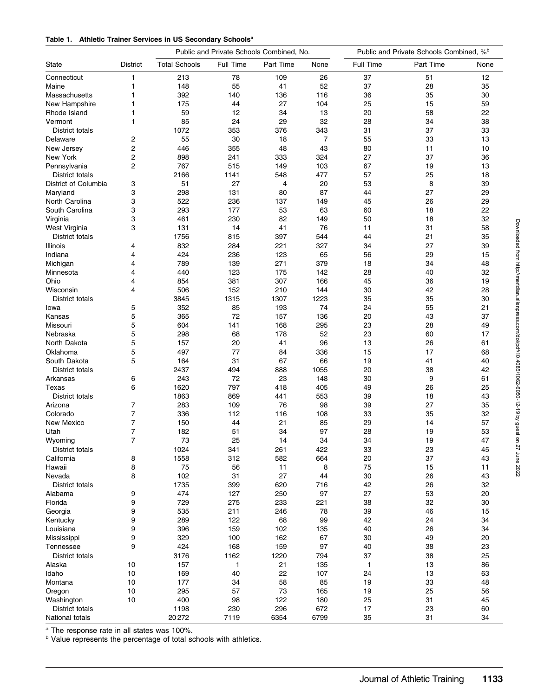|  |  | Table 1. Athletic Trainer Services in US Secondary Schools <sup>a</sup> |  |
|--|--|-------------------------------------------------------------------------|--|
|  |  |                                                                         |  |

|                                   |                     | Public and Private Schools Combined, No. |              |            |            | Public and Private Schools Combined, % <sup>b</sup> |           |          |  |  |
|-----------------------------------|---------------------|------------------------------------------|--------------|------------|------------|-----------------------------------------------------|-----------|----------|--|--|
| <b>State</b>                      | <b>District</b>     | <b>Total Schools</b>                     | Full Time    | Part Time  | None       | Full Time                                           | Part Time | None     |  |  |
| Connecticut                       | 1                   | 213                                      | 78           | 109        | 26         | 37                                                  | 51        | 12       |  |  |
| Maine                             | 1                   | 148                                      | 55           | 41         | 52         | 37                                                  | 28        | 35       |  |  |
| Massachusetts                     | 1                   | 392                                      | 140          | 136        | 116        | 36                                                  | 35        | 30       |  |  |
| New Hampshire                     | 1                   | 175                                      | 44           | 27         | 104        | 25                                                  | 15        | 59       |  |  |
| Rhode Island                      | 1                   | 59                                       | 12           | 34         | 13         | 20                                                  | 58        | 22       |  |  |
| Vermont                           | 1                   | 85                                       | 24           | 29         | 32         | 28                                                  | 34        | 38       |  |  |
| District totals                   |                     | 1072                                     | 353          | 376        | 343        | 31                                                  | 37        | 33       |  |  |
| Delaware                          | 2                   | 55                                       | 30           | 18         | 7          | 55                                                  | 33        | 13       |  |  |
| New Jersey                        | 2                   | 446                                      | 355          | 48         | 43         | 80                                                  | 11        | 10       |  |  |
| New York                          | 2                   | 898                                      | 241          | 333        | 324        | 27                                                  | 37        | 36       |  |  |
| Pennsylvania                      | 2                   | 767                                      | 515          | 149        | 103        | 67                                                  | 19        | 13       |  |  |
| District totals                   |                     | 2166                                     | 1141         | 548        | 477        | 57                                                  | 25        | 18       |  |  |
| District of Columbia              | 3                   | 51                                       | 27           | 4          | 20         | 53                                                  | 8         | 39       |  |  |
| Maryland                          | 3                   | 298                                      | 131          | 80         | 87         | 44                                                  | 27        | 29       |  |  |
| North Carolina                    | 3                   | 522                                      | 236          | 137        | 149        | 45                                                  | 26        | 29       |  |  |
| South Carolina                    | 3                   | 293                                      | 177          | 53         | 63         | 60                                                  | 18        | 22       |  |  |
| Virginia                          | 3                   | 461                                      | 230          | 82         | 149        | 50                                                  | 18        | 32       |  |  |
| West Virginia                     | 3                   | 131                                      | 14           | 41         | 76         | 11                                                  | 31        | 58       |  |  |
| District totals                   |                     | 1756                                     | 815          | 397        | 544        | 44                                                  | 21        | 35       |  |  |
| Illinois                          | 4                   | 832                                      | 284          | 221        | 327        | 34                                                  | 27        | 39       |  |  |
| Indiana                           | 4                   | 424                                      | 236          | 123        | 65         | 56                                                  | 29        | 15       |  |  |
| Michigan                          | 4                   | 789                                      | 139          | 271        | 379        | 18                                                  | 34        | 48       |  |  |
| Minnesota                         | 4                   | 440                                      | 123          | 175        | 142        | 28                                                  | 40        | 32       |  |  |
| Ohio                              | 4                   | 854                                      | 381          | 307        | 166        | 45                                                  | 36        | 19       |  |  |
| Wisconsin                         | 4                   | 506                                      | 152          | 210        | 144        | 30                                                  | 42        | 28       |  |  |
| <b>District totals</b>            |                     | 3845                                     | 1315         | 1307       | 1223       | 35                                                  | 35        | 30       |  |  |
| Iowa                              | 5                   | 352                                      | 85           | 193        | 74         | 24                                                  | 55        | 21       |  |  |
| Kansas                            | 5                   | 365                                      | 72           | 157        | 136        | 20                                                  | 43        | 37       |  |  |
| Missouri                          | 5                   | 604                                      | 141          | 168        | 295        | 23                                                  | 28        | 49       |  |  |
| Nebraska                          | 5                   | 298                                      | 68           | 178        | 52         | 23                                                  | 60        | 17       |  |  |
| North Dakota                      | 5                   | 157                                      | 20           | 41         | 96         | 13                                                  | 26        | 61       |  |  |
| Oklahoma                          | 5                   | 497                                      | 77           | 84         | 336        | 15                                                  | 17        | 68       |  |  |
| South Dakota                      | 5                   | 164                                      | 31           | 67         | 66         | 19                                                  | 41        | 40       |  |  |
| District totals                   |                     | 2437                                     | 494          | 888        | 1055       | 20                                                  | 38        | 42       |  |  |
| Arkansas                          | 6                   | 243                                      | 72           | 23         | 148        | 30                                                  | 9         | 61       |  |  |
| Texas                             | 6                   | 1620                                     | 797          | 418        | 405        | 49                                                  | 26        | 25       |  |  |
| <b>District totals</b>            |                     | 1863                                     | 869          | 441        | 553        | 39                                                  | 18        | 43       |  |  |
| Arizona                           | 7                   | 283                                      | 109          | 76         | 98         | 39                                                  | 27        | 35       |  |  |
| Colorado                          | 7                   | 336                                      | 112          | 116        | 108        | 33                                                  | 35        | 32       |  |  |
| New Mexico                        | 7                   | 150                                      | 44           | 21         | 85         | 29                                                  | 14        | 57       |  |  |
| Utah                              | 7<br>$\overline{7}$ | 182<br>73                                | 51           | 34         | 97         | 28<br>34                                            | 19        | 53       |  |  |
| Wyoming<br><b>District totals</b> |                     |                                          | 25           | 14         | 34         |                                                     | 19        | 47       |  |  |
| California                        | 8                   | 1024<br>1558                             | 341<br>312   | 261<br>582 | 422<br>664 | 33<br>20                                            | 23<br>37  | 45<br>43 |  |  |
| Hawaii                            | 8                   | 75                                       | 56           | 11         | 8          | 75                                                  | 15        | 11       |  |  |
| Nevada                            | 8                   | 102                                      | 31           | 27         | 44         | 30                                                  | 26        | 43       |  |  |
| District totals                   |                     | 1735                                     | 399          | 620        | 716        | 42                                                  | 26        | 32       |  |  |
| Alabama                           | 9                   | 474                                      | 127          | 250        | 97         | 27                                                  | 53        | 20       |  |  |
| Florida                           | 9                   | 729                                      | 275          | 233        | 221        | 38                                                  | 32        | 30       |  |  |
| Georgia                           | 9                   | 535                                      | 211          | 246        | 78         | 39                                                  | 46        | 15       |  |  |
| Kentucky                          | 9                   | 289                                      | 122          | 68         | 99         | 42                                                  | 24        | 34       |  |  |
| Louisiana                         | 9                   | 396                                      | 159          | 102        | 135        | 40                                                  | 26        | 34       |  |  |
| Mississippi                       | 9                   | 329                                      | 100          | 162        | 67         | 30                                                  | 49        | 20       |  |  |
| Tennessee                         | 9                   | 424                                      | 168          | 159        | 97         | 40                                                  | 38        | 23       |  |  |
| District totals                   |                     | 3176                                     | 1162         | 1220       | 794        | 37                                                  | 38        | 25       |  |  |
| Alaska                            | 10                  | 157                                      | $\mathbf{1}$ | 21         | 135        | 1                                                   | 13        | 86       |  |  |
| Idaho                             | 10                  | 169                                      | 40           | 22         | 107        | 24                                                  | 13        | 63       |  |  |
| Montana                           | 10                  | 177                                      | 34           | 58         | 85         | 19                                                  | 33        | 48       |  |  |
| Oregon                            | 10                  | 295                                      | 57           | 73         | 165        | 19                                                  | 25        | 56       |  |  |
| Washington                        | 10                  | 400                                      | 98           | 122        | 180        | 25                                                  | 31        | 45       |  |  |
| District totals                   |                     | 1198                                     | 230          | 296        | 672        | 17                                                  | 23        | 60       |  |  |
| National totals                   |                     | 20272                                    | 7119         | 6354       | 6799       | 35                                                  | 31        | 34       |  |  |

<sup>a</sup> The response rate in all states was 100%.

**b Value represents the percentage of total schools with athletics.**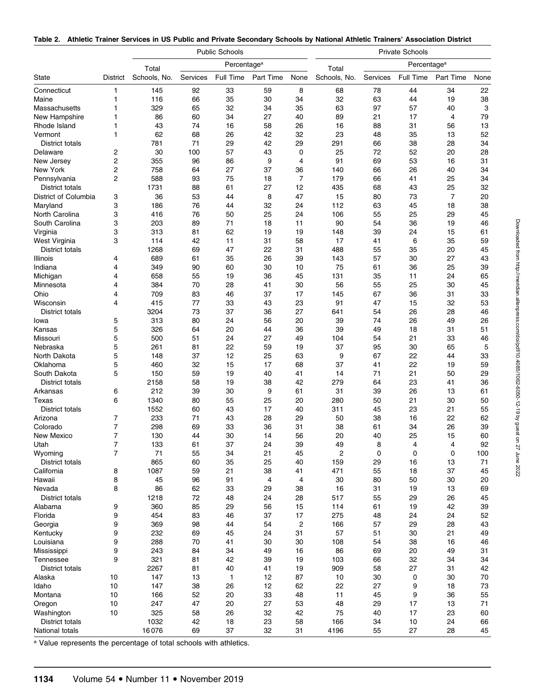| Table 2. Athletic Trainer Services in US Public and Private Secondary Schools by National Athletic Trainers' Association District |  |
|-----------------------------------------------------------------------------------------------------------------------------------|--|
|-----------------------------------------------------------------------------------------------------------------------------------|--|

|                        |                 | <b>Public Schools</b> |          |                         |           | <b>Private Schools</b> |              |          |                         |           |      |
|------------------------|-----------------|-----------------------|----------|-------------------------|-----------|------------------------|--------------|----------|-------------------------|-----------|------|
|                        |                 | Total                 |          | Percentage <sup>a</sup> |           |                        | Total        |          | Percentage <sup>a</sup> |           |      |
| State                  | <b>District</b> | Schools, No.          | Services | Full Time               | Part Time | None                   | Schools, No. | Services | Full Time               | Part Time | None |
| Connecticut            | 1               | 145                   | 92       | 33                      | 59        | 8                      | 68           | 78       | 44                      | 34        | 22   |
| Maine                  | 1               | 116                   | 66       | 35                      | 30        | 34                     | 32           | 63       | 44                      | 19        | 38   |
| Massachusetts          | 1               | 329                   | 65       | 32                      | 34        | 35                     | 63           | 97       | 57                      | 40        | 3    |
| New Hampshire          | 1               | 86                    | 60       | 34                      | 27        | 40                     | 89           | 21       | 17                      | 4         | 79   |
| Rhode Island           | 1               | 43                    | 74       | 16                      | 58        | 26                     | 16           | 88       | 31                      | 56        | 13   |
| Vermont                | 1               | 62                    | 68       | 26                      | 42        | 32                     | 23           | 48       | 35                      | 13        | 52   |
| District totals        |                 | 781                   | 71       | 29                      | 42        | 29                     | 291          | 66       | 38                      | 28        | 34   |
| Delaware               | 2               | 30                    | 100      | 57                      | 43        | 0                      | 25           | 72       | 52                      | 20        | 28   |
| New Jersey             | 2               | 355                   | 96       | 86                      | 9         | 4                      | 91           | 69       | 53                      | 16        | 31   |
| New York               | 2               | 758                   | 64       | 27                      | 37        | 36                     | 140          | 66       | 26                      | 40        | 34   |
| Pennsylvania           | 2               | 588                   | 93       | 75                      | 18        | $\overline{7}$         | 179          | 66       | 41                      | 25        | 34   |
| District totals        |                 | 1731                  | 88       | 61                      | 27        | 12                     | 435          | 68       | 43                      | 25        | 32   |
| District of Columbia   | 3               | 36                    | 53       | 44                      | 8         | 47                     | 15           | 80       | 73                      | 7         | 20   |
| Maryland               | 3               | 186                   | 76       | 44                      | 32        | 24                     | 112          | 63       | 45                      | 18        | 38   |
| North Carolina         | 3               | 416                   | 76       | 50                      | 25        | 24                     | 106          | 55       | 25                      | 29        | 45   |
| South Carolina         | 3               | 203                   | 89       | 71                      | 18        | 11                     | 90           | 54       | 36                      | 19        | 46   |
| Virginia               | 3               | 313                   | 81       | 62                      | 19        | 19                     | 148          | 39       | 24                      | 15        | 61   |
| West Virginia          | 3               | 114                   | 42       | 11                      | 31        | 58                     | 17           | 41       | 6                       | 35        | 59   |
| <b>District totals</b> |                 | 1268                  | 69       | 47                      | 22        | 31                     | 488          | 55       | 35                      | 20        | 45   |
| Illinois               | 4               | 689                   | 61       | 35                      | 26        | 39                     | 143          | 57       | 30                      | 27        | 43   |
| Indiana                | 4               | 349                   | 90       | 60                      | 30        | 10                     | 75           | 61       | 36                      | 25        | 39   |
| Michigan               | 4               | 658                   | 55       | 19                      | 36        | 45                     | 131          | 35       | 11                      | 24        | 65   |
| Minnesota              | 4               | 384                   | 70       | 28                      | 41        | 30                     | 56           | 55       | 25                      | 30        | 45   |
| Ohio                   | 4               | 709                   | 83       | 46                      | 37        | 17                     | 145          | 67       | 36                      | 31        | 33   |
| Wisconsin              | 4               | 415                   | 77       | 33                      | 43        | 23                     | 91           | 47       | 15                      | 32        | 53   |
| <b>District totals</b> |                 | 3204                  | 73       | 37                      | 36        | 27                     | 641          | 54       | 26                      | 28        | 46   |
| Iowa                   | 5               | 313                   | 80       | 24                      | 56        | 20                     | 39           | 74       | 26                      | 49        | 26   |
| Kansas                 | 5               | 326                   | 64       | 20                      | 44        | 36                     | 39           | 49       | 18                      | 31        | 51   |
| Missouri               | 5               | 500                   | 51       | 24                      | 27        | 49                     | 104          | 54       | 21                      | 33        | 46   |
| Nebraska               | 5               | 261                   | 81       | 22                      | 59        | 19                     | 37           | 95       | 30                      | 65        | 5    |
| North Dakota           | 5               | 148                   | 37       | 12                      | 25        | 63                     | 9            | 67       | 22                      | 44        | 33   |
| Oklahoma               | 5               | 460                   | 32       | 15                      | 17        | 68                     | 37           | 41       | 22                      | 19        | 59   |
| South Dakota           | 5               | 150                   | 59       | 19                      | 40        | 41                     | 14           | 71       | 21                      | 50        | 29   |
| District totals        |                 | 2158                  | 58       | 19                      | 38        | 42                     | 279          | 64       | 23                      | 41        | 36   |
| Arkansas               | 6               | 212                   | 39       | 30                      | 9         | 61                     | 31           | 39       | 26                      | 13        | 61   |
| Texas                  | 6               | 1340                  | 80       | 55                      | 25        | 20                     | 280          | 50       | 21                      | 30        | 50   |
| District totals        |                 | 1552                  | 60       | 43                      | 17        | 40                     | 311          | 45       | 23                      | 21        | 55   |
| Arizona                | 7               | 233                   | 71       | 43                      | 28        | 29                     | 50           | 38       | 16                      | 22        | 62   |
| Colorado               | $\overline{7}$  | 298                   | 69       | 33                      | 36        | 31                     | 38           | 61       | 34                      | 26        | 39   |
| New Mexico             | 7               | 130                   | 44       | 30                      | 14        | 56                     | 20           | 40       | 25                      | 15        | 60   |
| Utah                   | 7               | 133                   | 61       | 37                      | 24        | 39                     | 49           | 8        | 4                       | 4         | 92   |
| Wyoming                | 7               | $71$                  | 55       | 34                      | 21        | 45                     | 2            | 0        | 0                       | 0         | 100  |
| <b>District totals</b> |                 | 865                   | 60       | 35                      | 25        | 40                     | 159          | 29       | 16                      | 13        | 71   |
| California             | 8               | 1087                  | 59       | 21                      | 38        | 41                     | 471          | 55       | 18                      | 37        | 45   |
| Hawaii                 | 8               | 45                    | 96       | 91                      | 4         | 4                      | 30           | 80       | 50                      | 30        | 20   |
| Nevada                 | 8               | 86                    | 62       | 33                      | 29        | 38                     | 16           | 31       | 19                      | 13        | 69   |
| <b>District totals</b> |                 | 1218                  | 72       | 48                      | 24        | 28                     | 517          | 55       | 29                      | 26        | 45   |
| Alabama                | 9               | 360                   | 85       | 29                      | 56        | 15                     | 114          | 61       | 19                      | 42        | 39   |
| Florida                | 9               | 454                   | 83       | 46                      | 37        | 17                     | 275          | 48       | 24                      | 24        | 52   |
| Georgia                | 9               | 369                   | 98       | 44                      | 54        | $\overline{c}$         | 166          | 57       | 29                      | 28        | 43   |
| Kentucky               | 9               | 232                   | 69       | 45                      | 24        | 31                     | 57           | 51       | 30                      | 21        | 49   |
| Louisiana              | 9               | 288                   | 70       | 41                      | 30        | 30                     | 108          | 54       | 38                      | 16        | 46   |
| Mississippi            | 9               | 243                   | 84       | 34                      | 49        | 16                     | 86           | 69       | 20                      | 49        | 31   |
| Tennessee              | 9               | 321                   | 81       | 42                      | 39        | 19                     | 103          | 66       | 32                      | 34        | 34   |
| <b>District totals</b> |                 | 2267                  | 81       | 40                      | 41        | 19                     | 909          | 58       | 27                      | 31        | 42   |
| Alaska                 | 10              | 147                   | 13       | 1                       | 12        | 87                     | 10           | 30       | 0                       | 30        | 70   |
| Idaho                  | 10              | 147                   | 38       | 26                      | 12        | 62                     | 22           | 27       | 9                       | 18        | 73   |
| Montana                | 10              | 166                   | 52       | 20                      | 33        | 48                     | 11           | 45       | 9                       | 36        | 55   |
| Oregon                 | 10              | 247                   | 47       | 20                      | 27        | 53                     | 48           | 29       | 17                      | 13        | 71   |
| Washington             | 10              | 325                   | 58       | 26                      | 32        | 42                     | 75           | 40       | 17                      | 23        | 60   |
| District totals        |                 | 1032                  | 42       | 18                      | 23        | 58                     | 166          | 34       | 10                      | 24        | 66   |
| National totals        |                 | 16076                 | 69       | 37                      | 32        | 31                     | 4196         | 55       | 27                      | 28        | 45   |

a Value represents the percentage of total schools with athletics.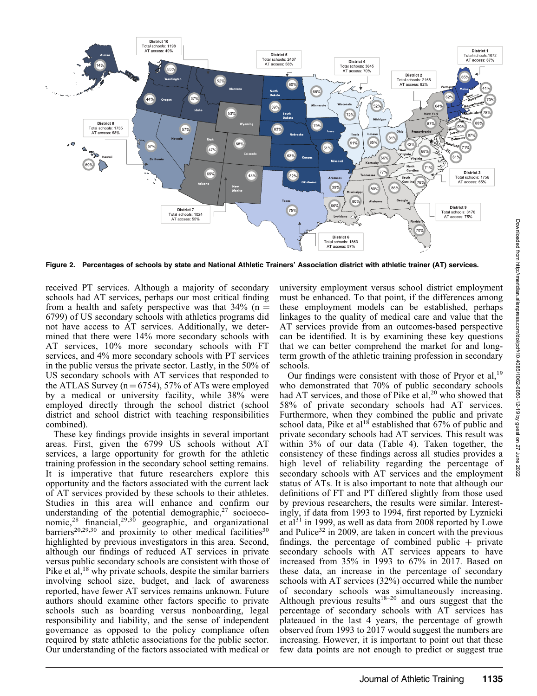

Figure 2. Percentages of schools by state and National Athletic Trainers' Association district with athletic trainer (AT) services.

received PT services. Although a majority of secondary schools had AT services, perhaps our most critical finding from a health and safety perspective was that  $34\%$  (n = 6799) of US secondary schools with athletics programs did not have access to AT services. Additionally, we determined that there were 14% more secondary schools with AT services, 10% more secondary schools with FT services, and 4% more secondary schools with PT services in the public versus the private sector. Lastly, in the 50% of US secondary schools with AT services that responded to the ATLAS Survey ( $n = 6754$ ), 57% of ATs were employed by a medical or university facility, while 38% were employed directly through the school district (school district and school district with teaching responsibilities combined).

These key findings provide insights in several important areas. First, given the 6799 US schools without AT services, a large opportunity for growth for the athletic training profession in the secondary school setting remains. It is imperative that future researchers explore this opportunity and the factors associated with the current lack of AT services provided by these schools to their athletes. Studies in this area will enhance and confirm our understanding of the potential demographic, $27$  socioeconomic,<sup>28</sup> financial,<sup>29,30</sup> geographic, and organizational barriers<sup>20,29,30</sup> and proximity to other medical facilities<sup>30</sup> highlighted by previous investigators in this area. Second, although our findings of reduced AT services in private versus public secondary schools are consistent with those of Pike et al,  $18$  why private schools, despite the similar barriers involving school size, budget, and lack of awareness reported, have fewer AT services remains unknown. Future authors should examine other factors specific to private schools such as boarding versus nonboarding, legal responsibility and liability, and the sense of independent governance as opposed to the policy compliance often required by state athletic associations for the public sector. Our understanding of the factors associated with medical or university employment versus school district employment must be enhanced. To that point, if the differences among these employment models can be established, perhaps linkages to the quality of medical care and value that the AT services provide from an outcomes-based perspective can be identified. It is by examining these key questions that we can better comprehend the market for and longterm growth of the athletic training profession in secondary schools.

Our findings were consistent with those of Pryor et al.<sup>19</sup> who demonstrated that 70% of public secondary schools had AT services, and those of Pike et al,<sup>20</sup> who showed that 58% of private secondary schools had AT services. Furthermore, when they combined the public and private school data, Pike et al<sup>18</sup> established that  $67\%$  of public and private secondary schools had AT services. This result was within 3% of our data (Table 4). Taken together, the consistency of these findings across all studies provides a high level of reliability regarding the percentage of secondary schools with AT services and the employment status of ATs. It is also important to note that although our definitions of FT and PT differed slightly from those used by previous researchers, the results were similar. Interestingly, if data from 1993 to 1994, first reported by Lyznicki et al $^{31}$  in 1999, as well as data from 2008 reported by Lowe and Pulice<sup>32</sup> in 2009, are taken in concert with the previous findings, the percentage of combined public  $\pm$  private secondary schools with AT services appears to have increased from 35% in 1993 to 67% in 2017. Based on these data, an increase in the percentage of secondary schools with AT services (32%) occurred while the number of secondary schools was simultaneously increasing. Although previous results $18-20$  and ours suggest that the percentage of secondary schools with AT services has plateaued in the last 4 years, the percentage of growth observed from 1993 to 2017 would suggest the numbers are increasing. However, it is important to point out that these few data points are not enough to predict or suggest true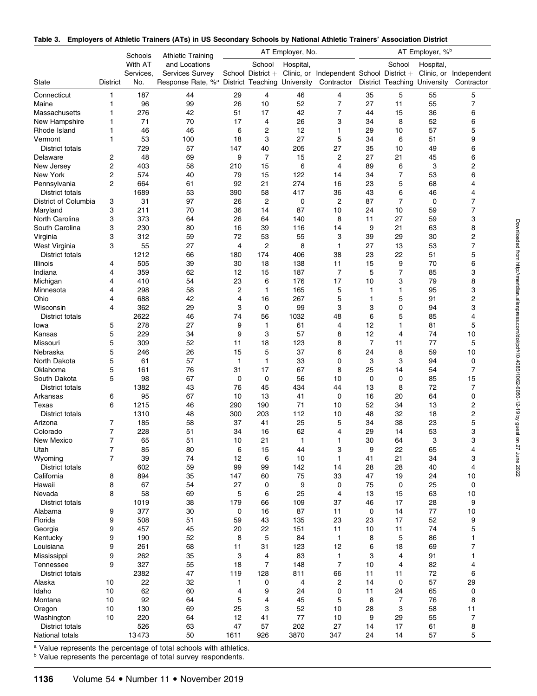|  |  |  |  |  | Table 3. Employers of Athletic Trainers (ATs) in US Secondary Schools by National Athletic Trainers' Association District |
|--|--|--|--|--|---------------------------------------------------------------------------------------------------------------------------|
|--|--|--|--|--|---------------------------------------------------------------------------------------------------------------------------|

|                        |                     | Schools    | <b>Athletic Training</b>                                   | AT Employer, No. |                   |           | AT Employer, % <sup>b</sup>                |          |              |                              |                         |
|------------------------|---------------------|------------|------------------------------------------------------------|------------------|-------------------|-----------|--------------------------------------------|----------|--------------|------------------------------|-------------------------|
|                        |                     | With AT    | and Locations                                              |                  | School            | Hospital, |                                            |          | School       | Hospital,                    |                         |
|                        |                     | Services,  | Services Survey                                            |                  | School District + |           | Clinic, or Independent School District $+$ |          |              |                              | Clinic, or Independent  |
| State                  | <b>District</b>     | No.        | Response Rate, % <sup>a</sup> District Teaching University |                  |                   |           | Contractor                                 |          |              | District Teaching University | Contractor              |
| Connecticut            | 1                   | 187        | 44                                                         | 29               | 4                 | 46        | 4                                          | 35       | 5            | 55                           | 5                       |
| Maine                  | 1                   | 96         | 99                                                         | 26               | 10                | 52        | 7                                          | 27       | 11           | 55                           | 7                       |
| Massachusetts          | 1                   | 276        | 42                                                         | 51               | 17                | 42        | 7                                          | 44       | 15           | 36                           | 6                       |
| New Hampshire          | 1                   | 71         | 70                                                         | 17               | 4                 | 26        | 3                                          | 34       | 8            | 52                           | 6                       |
| Rhode Island           | 1                   | 46         | 46                                                         | 6                | 2                 | 12        | 1                                          | 29       | 10           | 57                           | 5                       |
| Vermont                | 1                   | 53         | 100                                                        | 18               | 3                 | 27        | 5                                          | 34       | 6            | 51                           | 9                       |
| District totals        |                     | 729        | 57                                                         | 147              | 40                | 205       | 27                                         | 35       | 10           | 49                           | 6                       |
| Delaware               | 2                   | 48         | 69                                                         | 9                | 7                 | 15        | 2                                          | 27       | 21           | 45                           | 6                       |
| New Jersey<br>New York | $\overline{c}$<br>2 | 403<br>574 | 58<br>40                                                   | 210<br>79        | 15<br>15          | 6<br>122  | $\overline{4}$<br>14                       | 89<br>34 | 6<br>7       | 3<br>53                      | $\overline{c}$<br>6     |
| Pennsylvania           | $\overline{2}$      | 664        | 61                                                         | 92               | 21                | 274       | 16                                         | 23       | 5            | 68                           | 4                       |
| District totals        |                     | 1689       | 53                                                         | 390              | 58                | 417       | 36                                         | 43       | 6            | 46                           | 4                       |
| District of Columbia   | 3                   | 31         | 97                                                         | 26               | 2                 | 0         | 2                                          | 87       | 7            | 0                            | 7                       |
| Maryland               | 3                   | 211        | 70                                                         | 36               | 14                | 87        | 10                                         | 24       | 10           | 59                           | 7                       |
| North Carolina         | 3                   | 373        | 64                                                         | 26               | 64                | 140       | 8                                          | 11       | 27           | 59                           | 3                       |
| South Carolina         | 3                   | 230        | 80                                                         | 16               | 39                | 116       | 14                                         | 9        | 21           | 63                           | 8                       |
| Virginia               | 3                   | 312        | 59                                                         | 72               | 53                | 55        | 3                                          | 39       | 29           | 30                           | 2                       |
| West Virginia          | 3                   | 55         | 27                                                         | $\overline{4}$   | $\overline{c}$    | 8         | $\mathbf{1}$                               | 27       | 13           | 53                           | 7                       |
| District totals        |                     | 1212       | 66                                                         | 180              | 174               | 406       | 38                                         | 23       | 22           | 51                           | 5                       |
| <b>Illinois</b>        | 4                   | 505        | 39                                                         | 30               | 18                | 138       | 11                                         | 15       | 9            | 70                           | 6                       |
| Indiana                | 4                   | 359        | 62                                                         | 12               | 15                | 187       | 7                                          | 5        | 7            | 85                           | 3                       |
| Michigan               | 4                   | 410        | 54                                                         | 23               | 6                 | 176       | 17                                         | 10       | 3            | 79                           | 8                       |
| Minnesota              | 4                   | 298        | 58                                                         | $\overline{c}$   | 1                 | 165       | 5                                          | 1        | $\mathbf{1}$ | 95                           | 3                       |
| Ohio                   | 4                   | 688        | 42                                                         | 4                | 16                | 267       | 5                                          | 1        | 5            | 91                           | 2                       |
| Wisconsin              | 4                   | 362        | 29                                                         | 3                | 0                 | 99        | 3                                          | 3        | 0            | 94                           | 3                       |
| District totals        |                     | 2622       | 46                                                         | 74               | 56                | 1032      | 48                                         | 6        | 5            | 85                           | 4                       |
| Iowa                   | 5                   | 278        | 27                                                         | 9                | 1                 | 61        | 4                                          | 12       | 1            | 81                           | 5                       |
| Kansas                 | 5                   | 229        | 34                                                         | 9                | 3                 | 57        | 8                                          | 12       | 4            | 74                           | 10                      |
| Missouri               | 5                   | 309        | 52                                                         | 11               | 18                | 123       | 8                                          | 7        | 11           | 77                           | 5                       |
| Nebraska               | 5                   | 246        | 26                                                         | 15               | 5                 | 37        | 6                                          | 24       | 8            | 59                           | 10                      |
| North Dakota           | 5                   | 61         | 57                                                         | $\mathbf{1}$     | 1                 | 33        | 0                                          | 3        | 3            | 94                           | $\mathbf 0$             |
| Oklahoma               | 5                   | 161        | 76                                                         | 31               | 17                | 67        | 8                                          | 25       | 14           | 54                           | 7                       |
| South Dakota           | 5                   | 98         | 67                                                         | 0                | 0                 | 56        | 10                                         | 0        | 0            | 85                           | 15                      |
| District totals        |                     | 1382       | 43                                                         | 76               | 45                | 434       | 44                                         | 13       | 8            | 72                           | 7                       |
| Arkansas               | 6                   | 95         | 67                                                         | 10               | 13                | 41        | 0                                          | 16       | 20           | 64                           | 0                       |
| Texas                  | 6                   | 1215       | 46                                                         | 290              | 190               | 71        | 10                                         | 52       | 34           | 13                           | $\overline{\mathbf{c}}$ |
| District totals        |                     | 1310       | 48                                                         | 300              | 203               | 112       | 10                                         | 48       | 32           | 18                           | $\overline{c}$          |
| Arizona<br>Colorado    | 7<br>7              | 185<br>228 | 58                                                         | 37<br>34         | 41<br>16          | 25        | 5                                          | 34<br>29 | 38<br>14     | 23                           | 5                       |
| New Mexico             | 7                   | 65         | 51<br>51                                                   | 10               | 21                | 62<br>1   | 4<br>1                                     | 30       | 64           | 53<br>3                      | 3<br>3                  |
| Utah                   | 7                   | 85         | 80                                                         | 6                | 15                | 44        | 3                                          | 9        | 22           | 65                           | 4                       |
| Wyoming                | $\overline{7}$      | 39         | 74                                                         | 12               | 6                 | 10        | $\mathbf{1}$                               | 41       | 21           | 34                           | 3                       |
| <b>District totals</b> |                     | 602        | 59                                                         | 99               | 99                | 142       | 14                                         | 28       | 28           | 40                           | 4                       |
| California             | 8                   | 894        | 35                                                         | 147              | 60                | 75        | 33                                         | 47       | 19           | 24                           | 10                      |
| Hawaii                 | 8                   | 67         | 54                                                         | 27               | 0                 | 9         | 0                                          | 75       | 0            | 25                           | 0                       |
| Nevada                 | 8                   | 58         | 69                                                         | 5                | 6                 | 25        | 4                                          | 13       | 15           | 63                           | 10                      |
| <b>District totals</b> |                     | 1019       | 38                                                         | 179              | 66                | 109       | 37                                         | 46       | 17           | 28                           | 9                       |
| Alabama                | 9                   | 377        | 30                                                         | 0                | 16                | 87        | 11                                         | 0        | 14           | 77                           | 10                      |
| Florida                | 9                   | 508        | 51                                                         | 59               | 43                | 135       | 23                                         | 23       | 17           | 52                           | 9                       |
| Georgia                | 9                   | 457        | 45                                                         | 20               | 22                | 151       | 11                                         | 10       | 11           | 74                           | 5                       |
| Kentucky               | 9                   | 190        | 52                                                         | 8                | 5                 | 84        | 1                                          | 8        | 5            | 86                           | 1                       |
| Louisiana              | 9                   | 261        | 68                                                         | 11               | 31                | 123       | 12                                         | 6        | 18           | 69                           | 7                       |
| Mississippi            | 9                   | 262        | 35                                                         | 3                | 4                 | 83        | 1                                          | 3        | 4            | 91                           | 1                       |
| Tennessee              | 9                   | 327        | 55                                                         | 18               | 7                 | 148       | $\overline{7}$                             | 10       | 4            | 82                           | 4                       |
| <b>District totals</b> |                     | 2382       | 47                                                         | 119              | 128               | 811       | 66                                         | 11       | 11           | 72                           | 6                       |
| Alaska                 | 10                  | 22         | 32                                                         | 1                | 0                 | 4         | $\overline{\mathbf{c}}$                    | 14       | 0            | 57                           | 29                      |
| Idaho                  | 10                  | 62         | 60                                                         | 4                | 9                 | 24        | 0                                          | 11       | 24           | 65                           | 0                       |
| Montana                | 10                  | 92         | 64                                                         | 5                | 4                 | 45        | 5                                          | 8        | 7            | 76                           | 8                       |
| Oregon                 | 10                  | 130        | 69                                                         | 25               | 3                 | 52        | 10                                         | 28       | 3            | 58                           | 11                      |
| Washington             | 10                  | 220        | 64                                                         | 12               | 41                | $77 \,$   | 10                                         | 9        | 29           | 55                           | $\overline{7}$          |
| District totals        |                     | 526        | 63                                                         | 47               | 57                | 202       | 27                                         | 14       | 17           | 61                           | 8                       |
| National totals        |                     | 13473      | 50                                                         | 1611             | 926               | 3870      | 347                                        | 24       | 14           | 57                           | 5                       |

<sup>a</sup> Value represents the percentage of total schools with athletics.

**b Value represents the percentage of total survey respondents.**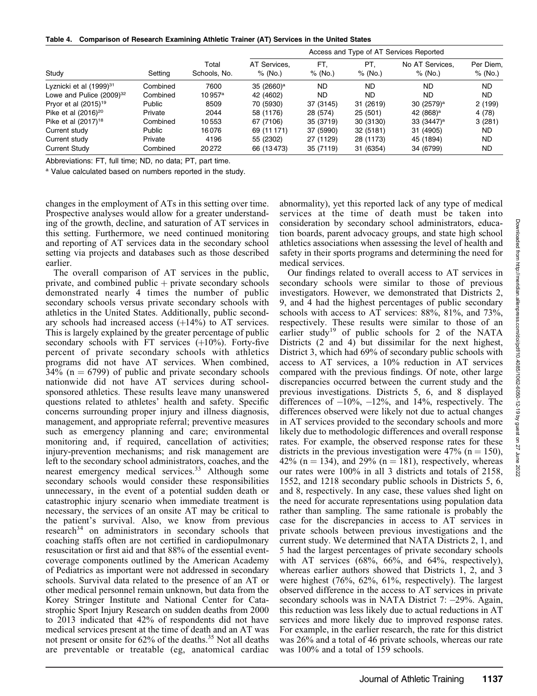Table 4. Comparison of Research Examining Athletic Trainer (AT) Services in the United States

|                                     |          |                       | Access and Type of AT Services Reported |                |                |                            |                      |  |  |  |
|-------------------------------------|----------|-----------------------|-----------------------------------------|----------------|----------------|----------------------------|----------------------|--|--|--|
| Study                               | Setting  | Total<br>Schools, No. | AT Services,<br>% (No.)                 | FT.<br>% (No.) | PT.<br>% (No.) | No AT Services.<br>% (No.) | Per Diem,<br>% (No.) |  |  |  |
| Lyznicki et al (1999) <sup>31</sup> | Combined | 7600                  | 35 (2660) <sup>a</sup>                  | <b>ND</b>      | <b>ND</b>      | <b>ND</b>                  | <b>ND</b>            |  |  |  |
| Lowe and Pulice $(2009)^{32}$       | Combined | $10957^{\rm a}$       | 42 (4602)                               | ND.            | ND             | ND                         | <b>ND</b>            |  |  |  |
| Pryor et al $(2015)^{19}$           | Public   | 8509                  | 70 (5930)                               | 37 (3145)      | 31 (2619)      | 30 $(2579)^a$              | 2(199)               |  |  |  |
| Pike et al $(2016)^{20}$            | Private  | 2044                  | 58 (1176)                               | 28 (574)       | 25(501)        | 42 (868) <sup>a</sup>      | 4 (78)               |  |  |  |
| Pike et al $(2017)^{18}$            | Combined | 10553                 | 67 (7106)                               | 35 (3719)      | 30 (3130)      | 33 $(3447)^a$              | 3(281)               |  |  |  |
| Current study                       | Public   | 16076                 | 69 (11 171)                             | 37 (5990)      | 32 (5181)      | 31 (4905)                  | ND.                  |  |  |  |
| Current study                       | Private  | 4196                  | 55 (2302)                               | 27 (1129)      | 28 (1173)      | 45 (1894)                  | <b>ND</b>            |  |  |  |
| <b>Current Study</b>                | Combined | 20272                 | 66 (13473)                              | 35 (7119)      | 31 (6354)      | 34 (6799)                  | <b>ND</b>            |  |  |  |

Abbreviations: FT, full time; ND, no data; PT, part time.

a Value calculated based on numbers reported in the study.

changes in the employment of ATs in this setting over time. Prospective analyses would allow for a greater understanding of the growth, decline, and saturation of AT services in this setting. Furthermore, we need continued monitoring and reporting of AT services data in the secondary school setting via projects and databases such as those described earlier.

The overall comparison of AT services in the public, private, and combined public  $+$  private secondary schools demonstrated nearly 4 times the number of public secondary schools versus private secondary schools with athletics in the United States. Additionally, public secondary schools had increased access  $(+14%)$  to AT services. This is largely explained by the greater percentage of public secondary schools with FT services  $(+10%)$ . Forty-five percent of private secondary schools with athletics programs did not have AT services. When combined,  $34\%$  (n = 6799) of public and private secondary schools nationwide did not have AT services during schoolsponsored athletics. These results leave many unanswered questions related to athletes' health and safety. Specific concerns surrounding proper injury and illness diagnosis, management, and appropriate referral; preventive measures such as emergency planning and care; environmental monitoring and, if required, cancellation of activities; injury-prevention mechanisms; and risk management are left to the secondary school administrators, coaches, and the nearest emergency medical services.<sup>33</sup> Although some secondary schools would consider these responsibilities unnecessary, in the event of a potential sudden death or catastrophic injury scenario when immediate treatment is necessary, the services of an onsite AT may be critical to the patient's survival. Also, we know from previous research<sup>34</sup> on administrators in secondary schools that coaching staffs often are not certified in cardiopulmonary resuscitation or first aid and that 88% of the essential eventcoverage components outlined by the American Academy of Pediatrics as important were not addressed in secondary schools. Survival data related to the presence of an AT or other medical personnel remain unknown, but data from the Korey Stringer Institute and National Center for Catastrophic Sport Injury Research on sudden deaths from 2000 to 2013 indicated that 42% of respondents did not have medical services present at the time of death and an AT was not present or onsite for 62% of the deaths.<sup>35</sup> Not all deaths are preventable or treatable (eg, anatomical cardiac

abnormality), yet this reported lack of any type of medical services at the time of death must be taken into consideration by secondary school administrators, education boards, parent advocacy groups, and state high school athletics associations when assessing the level of health and safety in their sports programs and determining the need for medical services.

Our findings related to overall access to AT services in secondary schools were similar to those of previous investigators. However, we demonstrated that Districts 2, 9, and 4 had the highest percentages of public secondary schools with access to AT services: 88%, 81%, and 73%, respectively. These results were similar to those of an earlier study<sup>19</sup> of public schools for 2 of the NATA Districts (2 and 4) but dissimilar for the next highest, District 3, which had 69% of secondary public schools with access to AT services, a 10% reduction in AT services compared with the previous findings. Of note, other large discrepancies occurred between the current study and the previous investigations. Districts 5, 6, and 8 displayed differences of  $-10\%$ ,  $-12\%$ , and 14%, respectively. The differences observed were likely not due to actual changes in AT services provided to the secondary schools and more likely due to methodologic differences and overall response rates. For example, the observed response rates for these districts in the previous investigation were  $47\%$  (n = 150), 42% (n = 134), and 29% (n = 181), respectively, whereas our rates were 100% in all 3 districts and totals of 2158, 1552, and 1218 secondary public schools in Districts 5, 6, and 8, respectively. In any case, these values shed light on the need for accurate representations using population data rather than sampling. The same rationale is probably the case for the discrepancies in access to AT services in private schools between previous investigations and the current study. We determined that NATA Districts 2, 1, and 5 had the largest percentages of private secondary schools with AT services (68%, 66%, and 64%, respectively), whereas earlier authors showed that Districts 1, 2, and 3 were highest (76%, 62%, 61%, respectively). The largest observed difference in the access to AT services in private secondary schools was in NATA District  $7: -29\%$ . Again, this reduction was less likely due to actual reductions in AT services and more likely due to improved response rates. For example, in the earlier research, the rate for this district was 26% and a total of 46 private schools, whereas our rate was 100% and a total of 159 schools.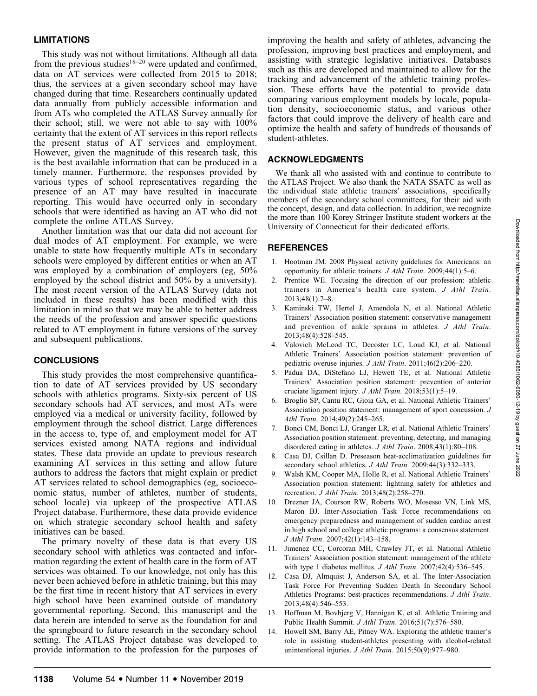# LIMITATIONS

This study was not without limitations. Although all data from the previous studies<sup>18–20</sup> were updated and confirmed, data on AT services were collected from 2015 to 2018; thus, the services at a given secondary school may have changed during that time. Researchers continually updated data annually from publicly accessible information and from ATs who completed the ATLAS Survey annually for their school; still, we were not able to say with 100% certainty that the extent of AT services in this report reflects the present status of AT services and employment. However, given the magnitude of this research task, this is the best available information that can be produced in a timely manner. Furthermore, the responses provided by various types of school representatives regarding the presence of an AT may have resulted in inaccurate reporting. This would have occurred only in secondary schools that were identified as having an AT who did not complete the online ATLAS Survey.

Another limitation was that our data did not account for dual modes of AT employment. For example, we were unable to state how frequently multiple ATs in secondary schools were employed by different entities or when an AT was employed by a combination of employers (eg, 50% employed by the school district and 50% by a university). The most recent version of the ATLAS Survey (data not included in these results) has been modified with this limitation in mind so that we may be able to better address the needs of the profession and answer specific questions related to AT employment in future versions of the survey and subsequent publications.

#### CONCLUSIONS

This study provides the most comprehensive quantification to date of AT services provided by US secondary schools with athletics programs. Sixty-six percent of US secondary schools had AT services, and most ATs were employed via a medical or university facility, followed by employment through the school district. Large differences in the access to, type of, and employment model for AT services existed among NATA regions and individual states. These data provide an update to previous research examining AT services in this setting and allow future authors to address the factors that might explain or predict AT services related to school demographics (eg, socioeconomic status, number of athletes, number of students, school locale) via upkeep of the prospective ATLAS Project database. Furthermore, these data provide evidence on which strategic secondary school health and safety initiatives can be based.

The primary novelty of these data is that every US secondary school with athletics was contacted and information regarding the extent of health care in the form of AT services was obtained. To our knowledge, not only has this never been achieved before in athletic training, but this may be the first time in recent history that AT services in every high school have been examined outside of mandatory governmental reporting. Second, this manuscript and the data herein are intended to serve as the foundation for and the springboard to future research in the secondary school setting. The ATLAS Project database was developed to provide information to the profession for the purposes of improving the health and safety of athletes, advancing the profession, improving best practices and employment, and assisting with strategic legislative initiatives. Databases such as this are developed and maintained to allow for the tracking and advancement of the athletic training profession. These efforts have the potential to provide data comparing various employment models by locale, population density, socioeconomic status, and various other factors that could improve the delivery of health care and optimize the health and safety of hundreds of thousands of student-athletes.

# ACKNOWLEDGMENTS

We thank all who assisted with and continue to contribute to the ATLAS Project. We also thank the NATA SSATC as well as the individual state athletic trainers' associations, specifically members of the secondary school committees, for their aid with the concept, design, and data collection. In addition, we recognize the more than 100 Korey Stringer Institute student workers at the University of Connecticut for their dedicated efforts.

# **REFERENCES**

- 1. Hootman JM. 2008 Physical activity guidelines for Americans: an opportunity for athletic trainers. J Athl Train. 2009;44(1):5–6.
- 2. Prentice WE. Focusing the direction of our profession: athletic trainers in America's health care system. J Athl Train. 2013;48(1):7–8.
- 3. Kaminski TW, Hertel J, Amendola N, et al. National Athletic Trainers' Association position statement: conservative management and prevention of ankle sprains in athletes. J Athl Train. 2013;48(4):528–545.
- 4. Valovich McLeod TC, Decoster LC, Loud KJ, et al. National Athletic Trainers' Association position statement: prevention of pediatric overuse injuries. J Athl Train. 2011;46(2):206–220.
- 5. Padua DA, DiStefano LJ, Hewett TE, et al. National Athletic Trainers' Association position statement: prevention of anterior cruciate ligament injury. J Athl Train. 2018;53(1):5–19.
- 6. Broglio SP, Cantu RC, Gioia GA, et al. National Athletic Trainers' Association position statement: management of sport concussion. J Athl Train. 2014;49(2):245–265.
- 7. Bonci CM, Bonci LJ, Granger LR, et al. National Athletic Trainers' Association position statement: preventing, detecting, and managing disordered eating in athletes. *J Athl Train*. 2008;43(1):80-108.
- 8. Casa DJ, Csillan D. Preseason heat-acclimatization guidelines for secondary school athletics. *J Athl Train*. 2009;44(3):332-333.
- 9. Walsh KM, Cooper MA, Holle R, et al. National Athletic Trainers' Association position statement: lightning safety for athletics and recreation. J Athl Train. 2013;48(2):258–270.
- 10. Drezner JA, Courson RW, Roberts WO, Mosesso VN, Link MS, Maron BJ. Inter-Association Task Force recommendations on emergency preparedness and management of sudden cardiac arrest in high school and college athletic programs: a consensus statement. J Athl Train. 2007;42(1):143–158.
- 11. Jimenez CC, Corcoran MH, Crawley JT, et al. National Athletic Trainers' Association position statement: management of the athlete with type 1 diabetes mellitus. J Athl Train. 2007;42(4):536-545.
- 12. Casa DJ, Almquist J, Anderson SA, et al. The Inter-Association Task Force For Preventing Sudden Death In Secondary School Athletics Programs: best-practices recommendations. J Athl Train. 2013;48(4):546–553.
- 13. Hoffman M, Bovbjerg V, Hannigan K, et al. Athletic Training and Public Health Summit. J Athl Train. 2016;51(7):576–580.
- 14. Howell SM, Barry AE, Pitney WA. Exploring the athletic trainer's role in assisting student-athletes presenting with alcohol-related unintentional injuries. *J Athl Train*. 2015;50(9):977-980.